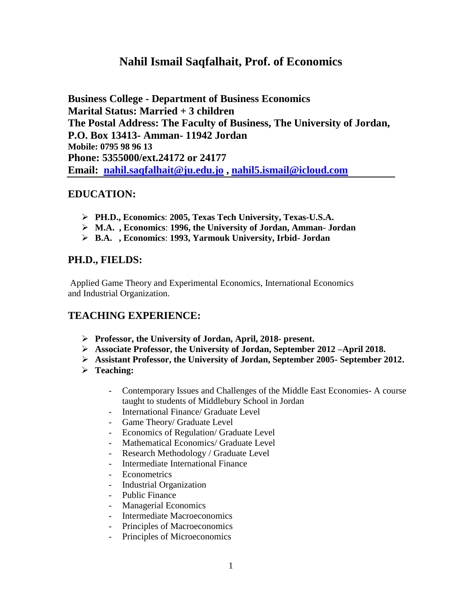# **Nahil Ismail Saqfalhait, Prof. of Economics**

**Business College - Department of Business Economics Marital Status: Married + 3 children The Postal Address: The Faculty of Business, The University of Jordan, P.O. Box 13413- Amman- 11942 Jordan Mobile: 0795 98 96 13 Phone: 5355000/ext.24172 or 24177 Email: [nahil.saqfalhait@ju.edu.jo](mailto:nahil.saqfalhait@ju.edu.jo) , [nahil5.ismail@icloud.com](mailto:nahil5.ismail@icloud.com)**

# **EDUCATION:**

- **PH.D., Economics**: **2005, Texas Tech University, Texas-U.S.A.**
- **M.A. , Economics**: **1996, the University of Jordan, Amman- Jordan**
- **B.A. , Economics**: **1993, Yarmouk University, Irbid- Jordan**

# **PH.D., FIELDS:**

Applied Game Theory and Experimental Economics, International Economics and Industrial Organization.

# **TEACHING EXPERIENCE:**

- **Professor, the University of Jordan, April, 2018- present.**
- **Associate Professor, the University of Jordan, September 2012 –April 2018.**
- **Assistant Professor, the University of Jordan, September 2005- September 2012.**
- **Teaching:** 
	- Contemporary Issues and Challenges of the Middle East Economies- A course taught to students of Middlebury School in Jordan
	- International Finance/ Graduate Level
	- Game Theory/ Graduate Level
	- Economics of Regulation/ Graduate Level
	- Mathematical Economics/ Graduate Level
	- Research Methodology / Graduate Level
	- Intermediate International Finance
	- Econometrics
	- Industrial Organization
	- Public Finance
	- Managerial Economics
	- Intermediate Macroeconomics
	- Principles of Macroeconomics
	- Principles of Microeconomics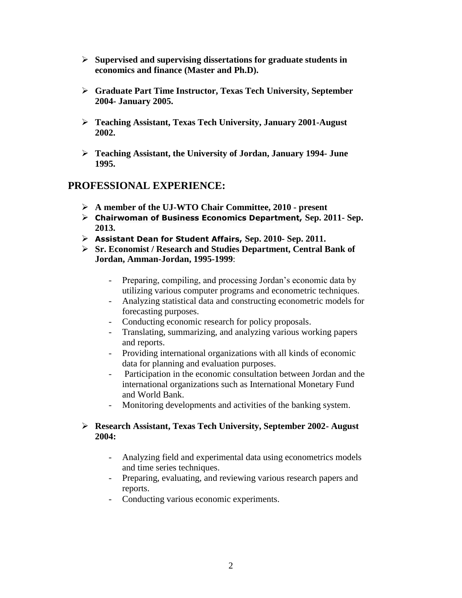- **Supervised and supervising dissertations for graduate students in economics and finance (Master and Ph.D).**
- **Graduate Part Time Instructor, Texas Tech University, September 2004- January 2005.**
- **Teaching Assistant, Texas Tech University, January 2001-August 2002.**
- **Teaching Assistant, the University of Jordan, January 1994- June 1995.**

#### **PROFESSIONAL EXPERIENCE:**

- **A member of the UJ-WTO Chair Committee, 2010 - present**
- **Chairwoman of Business Economics Department, Sep. 2011- Sep. 2013.**
- **Assistant Dean for Student Affairs, Sep. 2010- Sep. 2011.**
- **Sr. Economist / Research and Studies Department, Central Bank of Jordan, Amman-Jordan, 1995-1999**:
	- Preparing, compiling, and processing Jordan's economic data by utilizing various computer programs and econometric techniques.
	- Analyzing statistical data and constructing econometric models for forecasting purposes.
	- Conducting economic research for policy proposals.
	- Translating, summarizing, and analyzing various working papers and reports.
	- Providing international organizations with all kinds of economic data for planning and evaluation purposes.
	- Participation in the economic consultation between Jordan and the international organizations such as International Monetary Fund and World Bank.
	- Monitoring developments and activities of the banking system.

#### **Research Assistant, Texas Tech University, September 2002- August 2004:**

- Analyzing field and experimental data using econometrics models and time series techniques.
- Preparing, evaluating, and reviewing various research papers and reports.
- Conducting various economic experiments.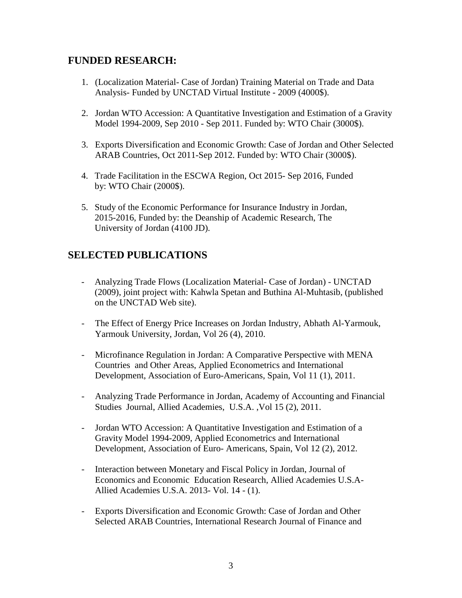### **FUNDED RESEARCH:**

- 1. (Localization Material- Case of Jordan) Training Material on Trade and Data Analysis- Funded by UNCTAD Virtual Institute - 2009 (4000\$).
- 2. Jordan WTO Accession: A Quantitative Investigation and Estimation of a Gravity Model 1994-2009, Sep 2010 - Sep 2011. Funded by: WTO Chair (3000\$).
- 3. Exports Diversification and Economic Growth: Case of Jordan and Other Selected ARAB Countries, Oct 2011-Sep 2012. Funded by: WTO Chair (3000\$).
- 4. Trade Facilitation in the ESCWA Region, Oct 2015- Sep 2016, Funded by: WTO Chair (2000\$).
- 5. Study of the Economic Performance for Insurance Industry in Jordan, 2015-2016, Funded by: the Deanship of Academic Research, The University of Jordan (4100 JD).

### **SELECTED PUBLICATIONS**

- Analyzing Trade Flows (Localization Material- Case of Jordan) UNCTAD (2009), joint project with: Kahwla Spetan and Buthina Al-Muhtasib, (published on the UNCTAD Web site).
- The Effect of Energy Price Increases on Jordan Industry, Abhath Al-Yarmouk, Yarmouk University, Jordan, Vol 26 (4), 2010.
- Microfinance Regulation in Jordan: A Comparative Perspective with MENA Countries and Other Areas, Applied Econometrics and International Development, Association of Euro-Americans, Spain, Vol 11 (1), 2011.
- Analyzing Trade Performance in Jordan, Academy of Accounting and Financial Studies Journal, Allied Academies, U.S.A. ,Vol 15 (2), 2011.
- Jordan WTO Accession: A Quantitative Investigation and Estimation of a Gravity Model 1994-2009, Applied Econometrics and International Development, Association of Euro- Americans, Spain, Vol 12 (2), 2012.
- Interaction between Monetary and Fiscal Policy in Jordan, Journal of Economics and Economic Education Research, Allied Academies U.S.A-Allied Academies U.S.A. 2013- Vol. 14 - (1).
- Exports Diversification and Economic Growth: Case of Jordan and Other Selected ARAB Countries, International Research Journal of Finance and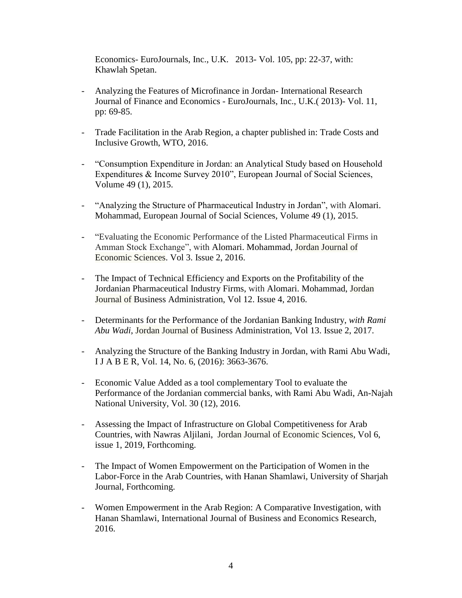Economics- EuroJournals, Inc., U.K. 2013- Vol. 105, pp: 22-37, with: Khawlah Spetan.

- Analyzing the Features of Microfinance in Jordan- International Research Journal of Finance and Economics - EuroJournals, Inc., U.K.( 2013)- Vol. 11, pp: 69-85.
- Trade Facilitation in the Arab Region, a chapter published in: Trade Costs and Inclusive Growth, WTO, 2016.
- "Consumption Expenditure in Jordan: an Analytical Study based on Household Expenditures & Income Survey 2010", European Journal of Social Sciences, Volume 49 (1), 2015.
- "Analyzing the Structure of Pharmaceutical Industry in Jordan", with Alomari. Mohammad, European Journal of Social Sciences, Volume 49 (1), 2015.
- "Evaluating the Economic Performance of the Listed Pharmaceutical Firms in Amman Stock Exchange", with Alomari. Mohammad, Jordan Journal of Economic Sciences. Vol 3. Issue 2, 2016.
- The Impact of Technical Efficiency and Exports on the Profitability of the Jordanian Pharmaceutical Industry Firms, with Alomari. Mohammad, Jordan Journal of Business Administration, Vol 12. Issue 4, 2016.
- Determinants for the Performance of the Jordanian Banking Industry, *with Rami Abu Wadi*, Jordan Journal of Business Administration, Vol 13. Issue 2, 2017.
- Analyzing the Structure of the Banking Industry in Jordan, with Rami Abu Wadi, I J A B E R, Vol. 14, No. 6, (2016): 3663-3676.
- Economic Value Added as a tool complementary Tool to evaluate the Performance of the Jordanian commercial banks, with Rami Abu Wadi, An-Najah National University, Vol. 30 (12), 2016.
- Assessing the Impact of Infrastructure on Global Competitiveness for Arab Countries, with Nawras Aljilani, Jordan Journal of Economic Sciences, Vol 6, issue 1, 2019, Forthcoming.
- The Impact of Women Empowerment on the Participation of Women in the Labor-Force in the Arab Countries, with Hanan Shamlawi, University of Sharjah Journal, Forthcoming.
- Women Empowerment in the Arab Region: A Comparative Investigation, with Hanan Shamlawi, International Journal of Business and Economics Research, 2016.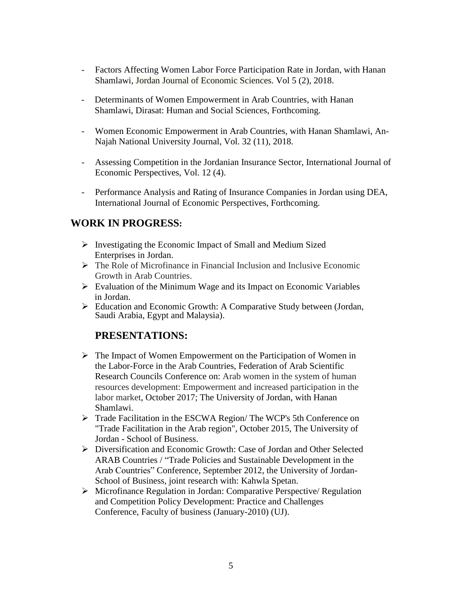- Factors Affecting Women Labor Force Participation Rate in Jordan, with Hanan Shamlawi, Jordan Journal of Economic Sciences. Vol 5 (2), 2018.
- Determinants of Women Empowerment in Arab Countries, with Hanan Shamlawi, Dirasat: Human and Social Sciences, Forthcoming.
- Women Economic Empowerment in Arab Countries, with Hanan Shamlawi, An-Najah National University Journal, Vol. 32 (11), 2018.
- Assessing Competition in the Jordanian Insurance Sector, International Journal of Economic Perspectives, Vol. 12 (4).
- Performance Analysis and Rating of Insurance Companies in Jordan using DEA, International Journal of Economic Perspectives, Forthcoming.

### **WORK IN PROGRESS:**

- $\triangleright$  Investigating the Economic Impact of Small and Medium Sized Enterprises in Jordan.
- $\triangleright$  The Role of Microfinance in Financial Inclusion and Inclusive Economic Growth in Arab Countries.
- $\triangleright$  Evaluation of the Minimum Wage and its Impact on Economic Variables in Jordan.
- Education and Economic Growth: A Comparative Study between (Jordan, Saudi Arabia, Egypt and Malaysia).

### **PRESENTATIONS:**

- $\triangleright$  The Impact of Women Empowerment on the Participation of Women in the Labor-Force in the Arab Countries, Federation of Arab Scientific Research Councils Conference on: Arab women in the system of human resources development: Empowerment and increased participation in the labor market, October 2017; The University of Jordan, with Hanan Shamlawi.
- Trade Facilitation in the ESCWA Region/ The WCP's 5th Conference on "Trade Facilitation in the Arab region", October 2015, The University of Jordan - School of Business.
- Diversification and Economic Growth: Case of Jordan and Other Selected ARAB Countries / "Trade Policies and Sustainable Development in the Arab Countries" Conference, September 2012, the University of Jordan-School of Business, joint research with: Kahwla Spetan.
- Microfinance Regulation in Jordan: Comparative Perspective/ Regulation and Competition Policy Development: Practice and Challenges Conference, Faculty of business (January-2010) (UJ).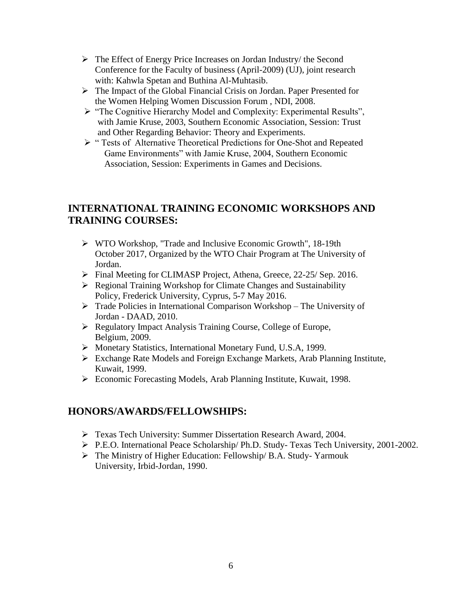- The Effect of Energy Price Increases on Jordan Industry/ the Second Conference for the Faculty of business (April-2009) (UJ), joint research with: Kahwla Spetan and Buthina Al-Muhtasib.
- The Impact of the Global Financial Crisis on Jordan. Paper Presented for the Women Helping Women Discussion Forum , NDI, 2008.
- "The Cognitive Hierarchy Model and Complexity: Experimental Results", with Jamie Kruse, 2003, Southern Economic Association, Session: Trust and Other Regarding Behavior: Theory and Experiments.
- " Tests of Alternative Theoretical Predictions for One-Shot and Repeated Game Environments" with Jamie Kruse, 2004, Southern Economic Association, Session: Experiments in Games and Decisions.

# **INTERNATIONAL TRAINING ECONOMIC WORKSHOPS AND TRAINING COURSES:**

- WTO Workshop, "Trade and Inclusive Economic Growth", 18-19th October 2017, Organized by the WTO Chair Program at The University of Jordan.
- Final Meeting for CLIMASP Project, Athena, Greece, 22-25/ Sep. 2016.
- Regional Training Workshop for Climate Changes and Sustainability Policy, Frederick University, Cyprus, 5-7 May 2016.
- $\triangleright$  Trade Policies in International Comparison Workshop The University of Jordan - DAAD, 2010.
- Regulatory Impact Analysis Training Course, College of Europe, Belgium, 2009.
- Monetary Statistics, International Monetary Fund, U.S.A, 1999.
- Exchange Rate Models and Foreign Exchange Markets, Arab Planning Institute, Kuwait, 1999.
- Economic Forecasting Models, Arab Planning Institute, Kuwait, 1998.

### **HONORS/AWARDS/FELLOWSHIPS:**

- Texas Tech University: Summer Dissertation Research Award, 2004.
- P.E.O. International Peace Scholarship/ Ph.D. Study- Texas Tech University, 2001-2002.
- The Ministry of Higher Education: Fellowship/ B.A. Study- Yarmouk University, Irbid-Jordan, 1990.